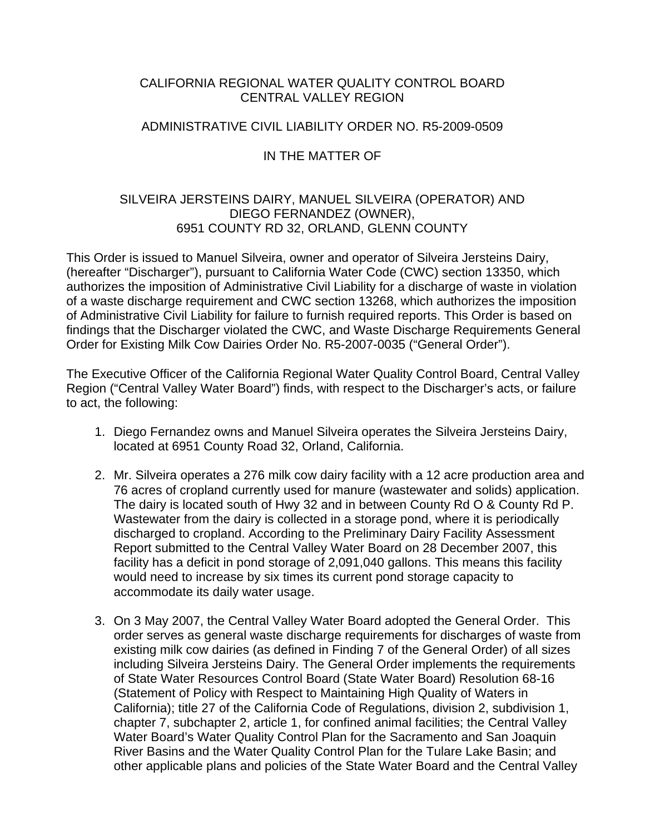#### CALIFORNIA REGIONAL WATER QUALITY CONTROL BOARD CENTRAL VALLEY REGION

#### ADMINISTRATIVE CIVIL LIABILITY ORDER NO. R5-2009-0509

## IN THE MATTER OF

## SILVEIRA JERSTEINS DAIRY, MANUEL SILVEIRA (OPERATOR) AND DIEGO FERNANDEZ (OWNER), 6951 COUNTY RD 32, ORLAND, GLENN COUNTY

This Order is issued to Manuel Silveira, owner and operator of Silveira Jersteins Dairy, (hereafter "Discharger"), pursuant to California Water Code (CWC) section 13350, which authorizes the imposition of Administrative Civil Liability for a discharge of waste in violation of a waste discharge requirement and CWC section 13268, which authorizes the imposition of Administrative Civil Liability for failure to furnish required reports. This Order is based on findings that the Discharger violated the CWC, and Waste Discharge Requirements General Order for Existing Milk Cow Dairies Order No. R5-2007-0035 ("General Order").

The Executive Officer of the California Regional Water Quality Control Board, Central Valley Region ("Central Valley Water Board") finds, with respect to the Discharger's acts, or failure to act, the following:

- 1. Diego Fernandez owns and Manuel Silveira operates the Silveira Jersteins Dairy, located at 6951 County Road 32, Orland, California.
- 2. Mr. Silveira operates a 276 milk cow dairy facility with a 12 acre production area and 76 acres of cropland currently used for manure (wastewater and solids) application. The dairy is located south of Hwy 32 and in between County Rd O & County Rd P. Wastewater from the dairy is collected in a storage pond, where it is periodically discharged to cropland. According to the Preliminary Dairy Facility Assessment Report submitted to the Central Valley Water Board on 28 December 2007, this facility has a deficit in pond storage of 2,091,040 gallons. This means this facility would need to increase by six times its current pond storage capacity to accommodate its daily water usage.
- 3. On 3 May 2007, the Central Valley Water Board adopted the General Order. This order serves as general waste discharge requirements for discharges of waste from existing milk cow dairies (as defined in Finding 7 of the General Order) of all sizes including Silveira Jersteins Dairy. The General Order implements the requirements of State Water Resources Control Board (State Water Board) Resolution 68-16 (Statement of Policy with Respect to Maintaining High Quality of Waters in California); title 27 of the California Code of Regulations, division 2, subdivision 1, chapter 7, subchapter 2, article 1, for confined animal facilities; the Central Valley Water Board's Water Quality Control Plan for the Sacramento and San Joaquin River Basins and the Water Quality Control Plan for the Tulare Lake Basin; and other applicable plans and policies of the State Water Board and the Central Valley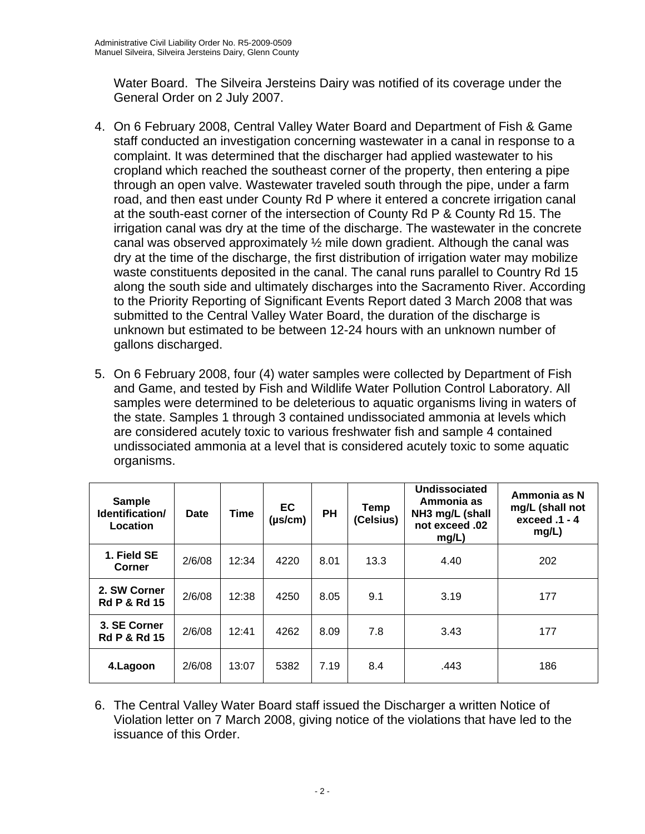Water Board. The Silveira Jersteins Dairy was notified of its coverage under the General Order on 2 July 2007.

- 4. On 6 February 2008, Central Valley Water Board and Department of Fish & Game staff conducted an investigation concerning wastewater in a canal in response to a complaint. It was determined that the discharger had applied wastewater to his cropland which reached the southeast corner of the property, then entering a pipe through an open valve. Wastewater traveled south through the pipe, under a farm road, and then east under County Rd P where it entered a concrete irrigation canal at the south-east corner of the intersection of County Rd P & County Rd 15. The irrigation canal was dry at the time of the discharge. The wastewater in the concrete canal was observed approximately ½ mile down gradient. Although the canal was dry at the time of the discharge, the first distribution of irrigation water may mobilize waste constituents deposited in the canal. The canal runs parallel to Country Rd 15 along the south side and ultimately discharges into the Sacramento River. According to the Priority Reporting of Significant Events Report dated 3 March 2008 that was submitted to the Central Valley Water Board, the duration of the discharge is unknown but estimated to be between 12-24 hours with an unknown number of gallons discharged.
- 5. On 6 February 2008, four (4) water samples were collected by Department of Fish and Game, and tested by Fish and Wildlife Water Pollution Control Laboratory. All samples were determined to be deleterious to aquatic organisms living in waters of the state. Samples 1 through 3 contained undissociated ammonia at levels which are considered acutely toxic to various freshwater fish and sample 4 contained undissociated ammonia at a level that is considered acutely toxic to some aquatic organisms.

| <b>Sample</b><br>Identification/<br>Location | Date   | <b>Time</b> | EC<br>$(\mu s/cm)$ | <b>PH</b> | Temp<br>(Celsius) | Undissociated<br>Ammonia as<br>NH3 mg/L (shall<br>not exceed .02<br>mg/L) | Ammonia as N<br>mg/L (shall not<br>exceed .1 - 4<br>mg/L) |
|----------------------------------------------|--------|-------------|--------------------|-----------|-------------------|---------------------------------------------------------------------------|-----------------------------------------------------------|
| 1. Field SE<br>Corner                        | 2/6/08 | 12:34       | 4220               | 8.01      | 13.3              | 4.40                                                                      | 202                                                       |
| 2. SW Corner<br><b>Rd P &amp; Rd 15</b>      | 2/6/08 | 12:38       | 4250               | 8.05      | 9.1               | 3.19                                                                      | 177                                                       |
| 3. SE Corner<br><b>Rd P &amp; Rd 15</b>      | 2/6/08 | 12:41       | 4262               | 8.09      | 7.8               | 3.43                                                                      | 177                                                       |
| 4.Lagoon                                     | 2/6/08 | 13:07       | 5382               | 7.19      | 8.4               | .443                                                                      | 186                                                       |

6. The Central Valley Water Board staff issued the Discharger a written Notice of Violation letter on 7 March 2008, giving notice of the violations that have led to the issuance of this Order.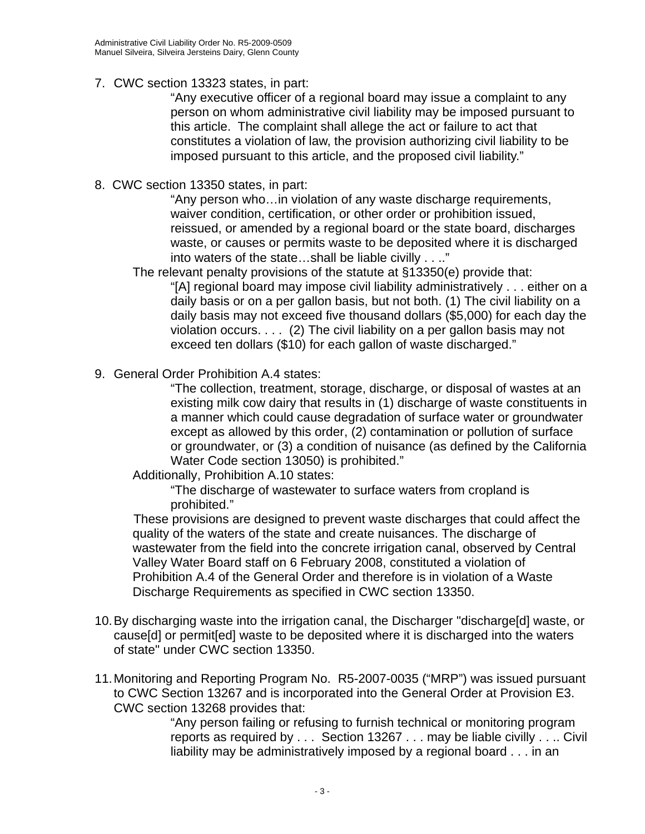### 7. CWC section 13323 states, in part:

"Any executive officer of a regional board may issue a complaint to any person on whom administrative civil liability may be imposed pursuant to this article. The complaint shall allege the act or failure to act that constitutes a violation of law, the provision authorizing civil liability to be imposed pursuant to this article, and the proposed civil liability."

8. CWC section 13350 states, in part:

"Any person who…in violation of any waste discharge requirements, waiver condition, certification, or other order or prohibition issued, reissued, or amended by a regional board or the state board, discharges waste, or causes or permits waste to be deposited where it is discharged into waters of the state…shall be liable civilly . . .."

The relevant penalty provisions of the statute at §13350(e) provide that: "[A] regional board may impose civil liability administratively . . . either on a daily basis or on a per gallon basis, but not both. (1) The civil liability on a daily basis may not exceed five thousand dollars (\$5,000) for each day the violation occurs. . . . (2) The civil liability on a per gallon basis may not exceed ten dollars (\$10) for each gallon of waste discharged."

9. General Order Prohibition A.4 states:

"The collection, treatment, storage, discharge, or disposal of wastes at an existing milk cow dairy that results in (1) discharge of waste constituents in a manner which could cause degradation of surface water or groundwater except as allowed by this order, (2) contamination or pollution of surface or groundwater, or (3) a condition of nuisance (as defined by the California Water Code section 13050) is prohibited."

Additionally, Prohibition A.10 states:

"The discharge of wastewater to surface waters from cropland is prohibited."

 These provisions are designed to prevent waste discharges that could affect the quality of the waters of the state and create nuisances. The discharge of wastewater from the field into the concrete irrigation canal, observed by Central Valley Water Board staff on 6 February 2008, constituted a violation of Prohibition A.4 of the General Order and therefore is in violation of a Waste Discharge Requirements as specified in CWC section 13350.

- 10. By discharging waste into the irrigation canal, the Discharger "discharge[d] waste, or cause[d] or permit[ed] waste to be deposited where it is discharged into the waters of state" under CWC section 13350.
- 11. Monitoring and Reporting Program No. R5-2007-0035 ("MRP") was issued pursuant to CWC Section 13267 and is incorporated into the General Order at Provision E3. CWC section 13268 provides that:

"Any person failing or refusing to furnish technical or monitoring program reports as required by . . . Section 13267 . . . may be liable civilly . . .. Civil liability may be administratively imposed by a regional board . . . in an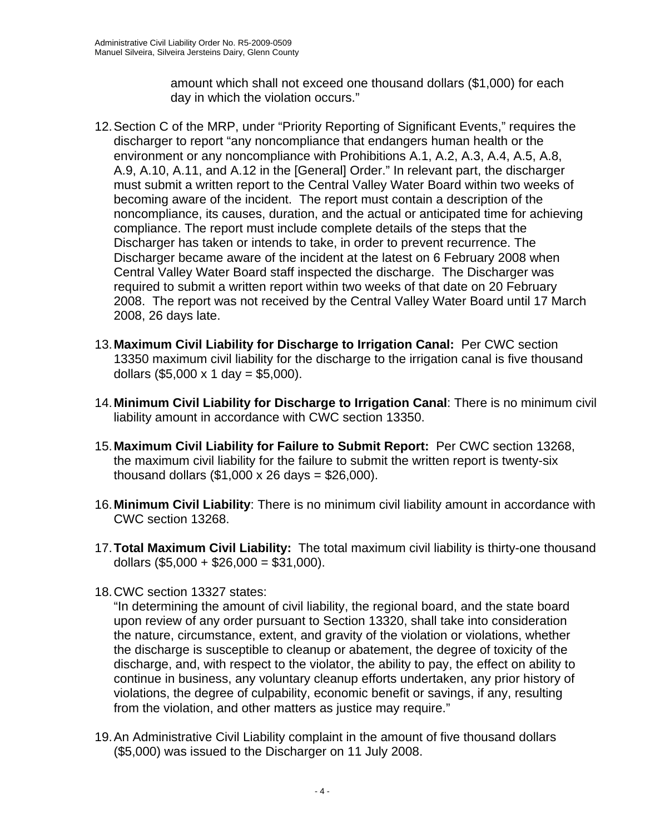amount which shall not exceed one thousand dollars (\$1,000) for each day in which the violation occurs."

- 12. Section C of the MRP, under "Priority Reporting of Significant Events," requires the discharger to report "any noncompliance that endangers human health or the environment or any noncompliance with Prohibitions A.1, A.2, A.3, A.4, A.5, A.8, A.9, A.10, A.11, and A.12 in the [General] Order." In relevant part, the discharger must submit a written report to the Central Valley Water Board within two weeks of becoming aware of the incident. The report must contain a description of the noncompliance, its causes, duration, and the actual or anticipated time for achieving compliance. The report must include complete details of the steps that the Discharger has taken or intends to take, in order to prevent recurrence. The Discharger became aware of the incident at the latest on 6 February 2008 when Central Valley Water Board staff inspected the discharge. The Discharger was required to submit a written report within two weeks of that date on 20 February 2008. The report was not received by the Central Valley Water Board until 17 March 2008, 26 days late.
- 13. **Maximum Civil Liability for Discharge to Irrigation Canal:** Per CWC section 13350 maximum civil liability for the discharge to the irrigation canal is five thousand dollars  $(\$5,000 \times 1$  day = \$5,000).
- 14. **Minimum Civil Liability for Discharge to Irrigation Canal**: There is no minimum civil liability amount in accordance with CWC section 13350.
- 15. **Maximum Civil Liability for Failure to Submit Report:** Per CWC section 13268, the maximum civil liability for the failure to submit the written report is twenty-six thousand dollars  $(\$1,000 \times 26 \text{ days} = \$26,000$ ).
- 16. **Minimum Civil Liability**: There is no minimum civil liability amount in accordance with CWC section 13268.
- 17. **Total Maximum Civil Liability:** The total maximum civil liability is thirty-one thousand dollars  $(\$5,000 + \$26,000 = \$31,000)$ .
- 18. CWC section 13327 states:

"In determining the amount of civil liability, the regional board, and the state board upon review of any order pursuant to Section 13320, shall take into consideration the nature, circumstance, extent, and gravity of the violation or violations, whether the discharge is susceptible to cleanup or abatement, the degree of toxicity of the discharge, and, with respect to the violator, the ability to pay, the effect on ability to continue in business, any voluntary cleanup efforts undertaken, any prior history of violations, the degree of culpability, economic benefit or savings, if any, resulting from the violation, and other matters as justice may require."

19. An Administrative Civil Liability complaint in the amount of five thousand dollars (\$5,000) was issued to the Discharger on 11 July 2008.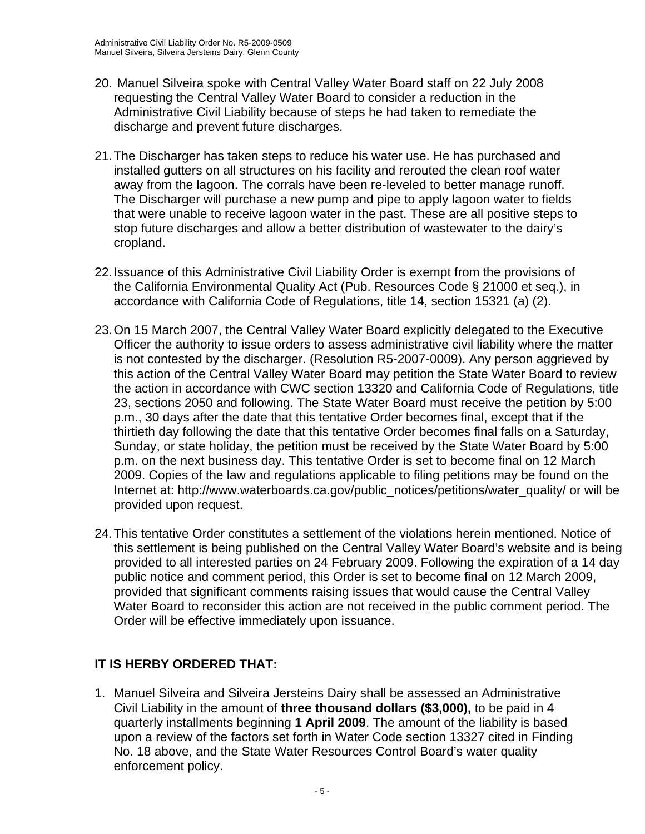- 20. Manuel Silveira spoke with Central Valley Water Board staff on 22 July 2008 requesting the Central Valley Water Board to consider a reduction in the Administrative Civil Liability because of steps he had taken to remediate the discharge and prevent future discharges.
- 21. The Discharger has taken steps to reduce his water use. He has purchased and installed gutters on all structures on his facility and rerouted the clean roof water away from the lagoon. The corrals have been re-leveled to better manage runoff. The Discharger will purchase a new pump and pipe to apply lagoon water to fields that were unable to receive lagoon water in the past. These are all positive steps to stop future discharges and allow a better distribution of wastewater to the dairy's cropland.
- 22. Issuance of this Administrative Civil Liability Order is exempt from the provisions of the California Environmental Quality Act (Pub. Resources Code § 21000 et seq.), in accordance with California Code of Regulations, title 14, section 15321 (a) (2).
- 23. On 15 March 2007, the Central Valley Water Board explicitly delegated to the Executive Officer the authority to issue orders to assess administrative civil liability where the matter is not contested by the discharger. (Resolution R5-2007-0009). Any person aggrieved by this action of the Central Valley Water Board may petition the State Water Board to review the action in accordance with CWC section 13320 and California Code of Regulations, title 23, sections 2050 and following. The State Water Board must receive the petition by 5:00 p.m., 30 days after the date that this tentative Order becomes final, except that if the thirtieth day following the date that this tentative Order becomes final falls on a Saturday, Sunday, or state holiday, the petition must be received by the State Water Board by 5:00 p.m. on the next business day. This tentative Order is set to become final on 12 March 2009. Copies of the law and regulations applicable to filing petitions may be found on the Internet at: http://www.waterboards.ca.gov/public\_notices/petitions/water\_quality/ or will be provided upon request.
- 24. This tentative Order constitutes a settlement of the violations herein mentioned. Notice of this settlement is being published on the Central Valley Water Board's website and is being provided to all interested parties on 24 February 2009. Following the expiration of a 14 day public notice and comment period, this Order is set to become final on 12 March 2009, provided that significant comments raising issues that would cause the Central Valley Water Board to reconsider this action are not received in the public comment period. The Order will be effective immediately upon issuance.

# **IT IS HERBY ORDERED THAT:**

1. Manuel Silveira and Silveira Jersteins Dairy shall be assessed an Administrative Civil Liability in the amount of **three thousand dollars (\$3,000),** to be paid in 4 quarterly installments beginning **1 April 2009**. The amount of the liability is based upon a review of the factors set forth in Water Code section 13327 cited in Finding No. 18 above, and the State Water Resources Control Board's water quality enforcement policy.